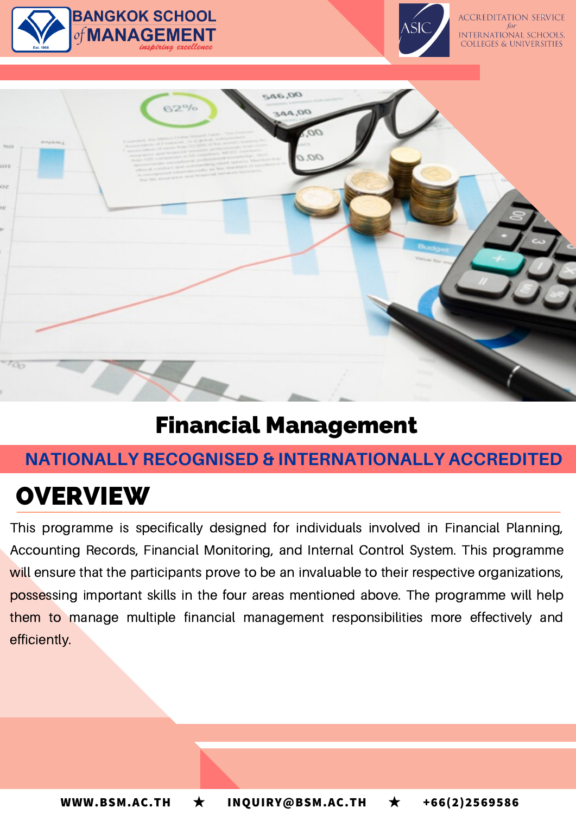





## Financial Management

## **NATIONALLY RECOGNISED & INTERNATIONALLY ACCREDITED**

# **OVERVIEW**

This programme is specifically designed for individuals involved in Financial Planning, Accounting Records, Financial Monitoring, and Internal Control System. This programme will ensure that the participants prove to be an invaluable to their respective organizations, possessing important skills in the four areas mentioned above. The programme will help them to manage multiple financial management responsibilities more effectively and efficiently.